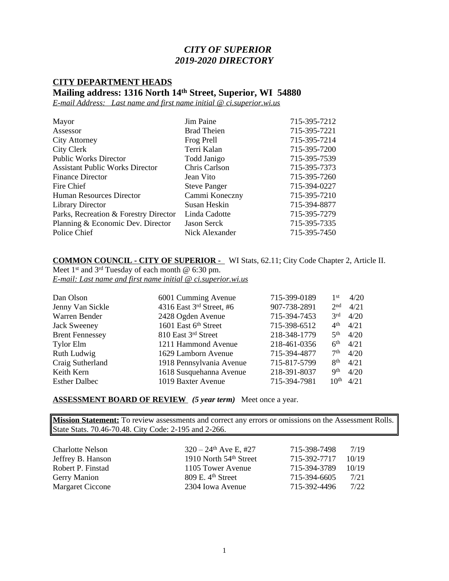## *CITY OF SUPERIOR 2019-2020 DIRECTORY*

## **CITY DEPARTMENT HEADS Mailing address: 1316 North 14th Street, Superior, WI 54880**

*E-mail Address: Last name and first name initial @ ci.superior.wi.us*

| Mayor                                  | Jim Paine           | 715-395-7212 |
|----------------------------------------|---------------------|--------------|
| Assessor                               | <b>Brad Theien</b>  | 715-395-7221 |
| <b>City Attorney</b>                   | Frog Prell          | 715-395-7214 |
| City Clerk                             | Terri Kalan         | 715-395-7200 |
| <b>Public Works Director</b>           | Todd Janigo         | 715-395-7539 |
| <b>Assistant Public Works Director</b> | Chris Carlson       | 715-395-7373 |
| <b>Finance Director</b>                | Jean Vito           | 715-395-7260 |
| Fire Chief                             | <b>Steve Panger</b> | 715-394-0227 |
| Human Resources Director               | Cammi Koneczny      | 715-395-7210 |
| <b>Library Director</b>                | Susan Heskin        | 715-394-8877 |
| Parks, Recreation & Forestry Director  | Linda Cadotte       | 715-395-7279 |
| Planning & Economic Dev. Director      | Jason Serck         | 715-395-7335 |
| Police Chief                           | Nick Alexander      | 715-395-7450 |

**COMMON COUNCIL - CITY OF SUPERIOR -** WI Stats, 62.11; City Code Chapter 2, Article II. Meet 1<sup>st</sup> and <sup>3rd</sup> Tuesday of each month @ 6:30 pm.

*E-mail: Last name and first name initial @ ci.superior.wi.us*

| Dan Olson              | 6001 Cumming Avenue      | 715-399-0189 | 1st              | 4/20 |
|------------------------|--------------------------|--------------|------------------|------|
| Jenny Van Sickle       | 4316 East 3rd Street, #6 | 907-738-2891 | 2nd              | 4/21 |
| Warren Bender          | 2428 Ogden Avenue        | 715-394-7453 | 3 <sup>rd</sup>  | 4/20 |
| <b>Jack Sweeney</b>    | 1601 East 6th Street     | 715-398-6512 | 4 <sup>th</sup>  | 4/21 |
| <b>Brent Fennessey</b> | 810 East 3rd Street      | 218-348-1779 | 5 <sup>th</sup>  | 4/20 |
| <b>Tylor Elm</b>       | 1211 Hammond Avenue      | 218-461-0356 | 6 <sup>th</sup>  | 4/21 |
| Ruth Ludwig            | 1629 Lamborn Avenue      | 715-394-4877 | 7 <sup>th</sup>  | 4/20 |
| Craig Sutherland       | 1918 Pennsylvania Avenue | 715-817-5799 | 8 <sup>th</sup>  | 4/21 |
| Keith Kern             | 1618 Susquehanna Avenue  | 218-391-8037 | <b>Qth</b>       | 4/20 |
| <b>Esther Dalbec</b>   | 1019 Baxter Avenue       | 715-394-7981 | 10 <sup>th</sup> | 4/21 |

**ASSESSMENT BOARD OF REVIEW** *(5 year term)* Meet once a year.

**Mission Statement:** To review assessments and correct any errors or omissions on the Assessment Rolls. State Stats. 70.46-70.48. City Code: 2-195 and 2-266.

| <b>Charlotte Nelson</b> | $320 - 24$ <sup>th</sup> Ave E, #27 | 715-398-7498 | 7/19  |
|-------------------------|-------------------------------------|--------------|-------|
| Jeffrey B. Hanson       | 1910 North 54 <sup>th</sup> Street  | 715-392-7717 | 10/19 |
| Robert P. Finstad       | 1105 Tower Avenue                   | 715-394-3789 | 10/19 |
| <b>Gerry Manion</b>     | $809$ E. $4th$ Street               | 715-394-6605 | 7/21  |
| <b>Margaret Ciccone</b> | 2304 Iowa Avenue                    | 715-392-4496 | 7/22  |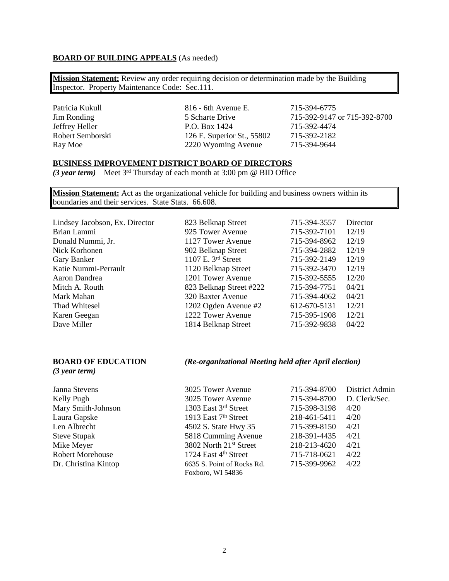#### **BOARD OF BUILDING APPEALS** (As needed)

**Mission Statement:** Review any order requiring decision or determination made by the Building Inspector. Property Maintenance Code: Sec.111.

Patricia Kukull 816 - 6th Avenue E. 715-394-6775<br>  $\frac{15}{3}$  Scharte Drive 715-392-9147 Jim Ronding 5 Scharte Drive 715-392-9147 or 715-392-8700<br>Jeffrey Heller P.O. Box 1424 715-392-4474 P.O. Box 1424 715-392-4474 Robert Semborski 126 E. Superior St., 55802 715-392-2182 Ray Moe 2220 Wyoming Avenue 715-394-9644

#### **BUSINESS IMPROVEMENT DISTRICT BOARD OF DIRECTORS**

*(3 year term)* Meet 3rd Thursday of each month at 3:00 pm @ BID Office

**Mission Statement:** Act as the organizational vehicle for building and business owners within its boundaries and their services. State Stats. 66.608.

| 823 Belknap Street      | 715-394-3557 | Director |
|-------------------------|--------------|----------|
| 925 Tower Avenue        | 715-392-7101 | 12/19    |
| 1127 Tower Avenue       | 715-394-8962 | 12/19    |
| 902 Belknap Street      | 715-394-2882 | 12/19    |
| 1107 E. 3rd Street      | 715-392-2149 | 12/19    |
| 1120 Belknap Street     | 715-392-3470 | 12/19    |
| 1201 Tower Avenue       | 715-392-5555 | 12/20    |
| 823 Belknap Street #222 | 715-394-7751 | 04/21    |
| 320 Baxter Avenue       | 715-394-4062 | 04/21    |
| 1202 Ogden Avenue #2    | 612-670-5131 | 12/21    |
| 1222 Tower Avenue       | 715-395-1908 | 12/21    |
| 1814 Belknap Street     | 715-392-9838 | 04/22    |
|                         |              |          |

#### **BOARD OF EDUCATION** *(Re-organizational Meeting held after April election)*

*(3 year term)*

| Janna Stevens           | 3025 Tower Avenue                  | 715-394-8700 | District Admin |
|-------------------------|------------------------------------|--------------|----------------|
| Kelly Pugh              | 3025 Tower Avenue                  | 715-394-8700 | D. Clerk/Sec.  |
| Mary Smith-Johnson      | 1303 East 3rd Street               | 715-398-3198 | 4/20           |
| Laura Gapske            | 1913 East 7 <sup>th</sup> Street   | 218-461-5411 | 4/20           |
| Len Albrecht            | 4502 S. State Hwy 35               | 715-399-8150 | 4/21           |
| <b>Steve Stupak</b>     | 5818 Cumming Avenue                | 218-391-4435 | 4/21           |
| Mike Meyer              | 3802 North 21 <sup>st</sup> Street | 218-213-4620 | 4/21           |
| <b>Robert Morehouse</b> | 1724 East 4th Street               | 715-718-0621 | 4/22           |
| Dr. Christina Kintop    | 6635 S. Point of Rocks Rd.         | 715-399-9962 | 4/22           |
|                         | Foxboro, WI 54836                  |              |                |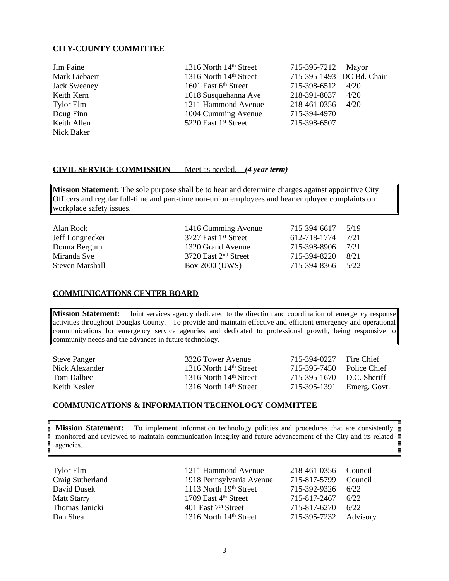#### **CITY-COUNTY COMMITTEE**

| Jim Paine           | 1316 North 14th Street           | 715-395-7212 Mayor        |      |
|---------------------|----------------------------------|---------------------------|------|
| Mark Liebaert       | 1316 North 14th Street           | 715-395-1493 DC Bd. Chair |      |
| <b>Jack Sweeney</b> | 1601 East 6 <sup>th</sup> Street | 715-398-6512              | 4/20 |
| Keith Kern          | 1618 Susquehanna Ave             | 218-391-8037              | 4/20 |
| <b>Tylor Elm</b>    | 1211 Hammond Avenue              | 218-461-0356 4/20         |      |
| Doug Finn           | 1004 Cumming Avenue              | 715-394-4970              |      |
| Keith Allen         | 5220 East 1 <sup>st</sup> Street | 715-398-6507              |      |
| Nick Baker          |                                  |                           |      |

#### **CIVIL SERVICE COMMISSION** Meet as needed. *(4 year term)*

**Mission Statement:** The sole purpose shall be to hear and determine charges against appointive City Officers and regular full-time and part-time non-union employees and hear employee complaints on workplace safety issues.

| Alan Rock       | 1416 Cumming Avenue              | 715-394-6617 | 5/19 |
|-----------------|----------------------------------|--------------|------|
| Jeff Longnecker | 3727 East 1 <sup>st</sup> Street | 612-718-1774 | 7/21 |
| Donna Bergum    | 1320 Grand Avenue                | 715-398-8906 | 7/21 |
| Miranda Sve     | 3720 East 2 <sup>nd</sup> Street | 715-394-8220 | 8/21 |
| Steven Marshall | Box 2000 (UWS)                   | 715-394-8366 | 5/22 |

#### **COMMUNICATIONS CENTER BOARD**

**Mission Statement:** Joint services agency dedicated to the direction and coordination of emergency response activities throughout Douglas County. To provide and maintain effective and efficient emergency and operational communications for emergency service agencies and dedicated to professional growth, being responsive to community needs and the advances in future technology.

| <b>Steve Panger</b> | 3326 Tower Avenue        | 715-394-0227              | Fire Chief   |
|---------------------|--------------------------|---------------------------|--------------|
| Nick Alexander      | 1316 North $14th$ Street | 715-395-7450              | Police Chief |
| Tom Dalbec          | 1316 North $14th$ Street | 715-395-1670 D.C. Sheriff |              |
| Keith Kesler        | 1316 North $14th$ Street | 715-395-1391 Emerg. Govt. |              |

#### **COMMUNICATIONS & INFORMATION TECHNOLOGY COMMITTEE**

**Mission Statement:** To implement information technology policies and procedures that are consistently monitored and reviewed to maintain communication integrity and future advancement of the City and its related agencies.

| Tylor Elm          | 1211 Hammond Avenue             | 218-461-0356 Council |          |
|--------------------|---------------------------------|----------------------|----------|
| Craig Sutherland   | 1918 Pennsylvania Avenue        | 715-817-5799         | Council  |
| David Dusek        | 1113 North 19th Street          | 715-392-9326         | 6/22     |
| <b>Matt Starry</b> | 1709 East 4th Street            | 715-817-2467         | 6/22     |
| Thomas Janicki     | 401 East 7 <sup>th</sup> Street | 715-817-6270         | 6/22     |
| Dan Shea           | 1316 North 14th Street          | 715-395-7232         | Advisory |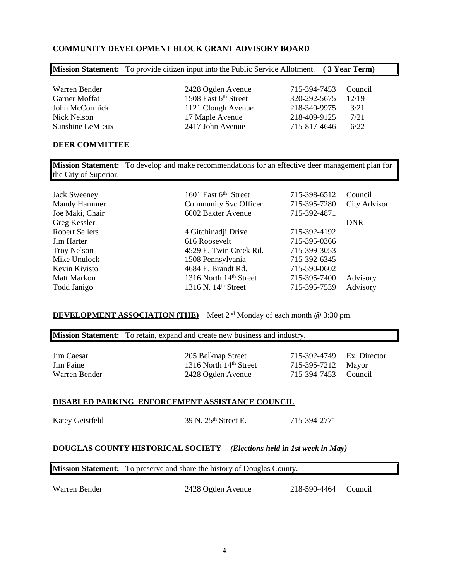### **COMMUNITY DEVELOPMENT BLOCK GRANT ADVISORY BOARD**

|                  | <b>Mission Statement:</b> To provide citizen input into the Public Service Allotment. (3 Year Term) |              |         |
|------------------|-----------------------------------------------------------------------------------------------------|--------------|---------|
|                  |                                                                                                     |              |         |
| Warren Bender    | 2428 Ogden Avenue                                                                                   | 715-394-7453 | Council |
| Garner Moffat    | 1508 East 6th Street                                                                                | 320-292-5675 | 12/19   |
| John McCormick   | 1121 Clough Avenue                                                                                  | 218-340-9975 | 3/21    |
| Nick Nelson      | 17 Maple Avenue                                                                                     | 218-409-9125 | 7/21    |
| Sunshine LeMieux | 2417 John Avenue                                                                                    | 715-817-4646 | 6/22    |

#### **DEER COMMITTEE**

**Mission Statement:** To develop and make recommendations for an effective deer management plan for the City of Superior.

| 1601 East 6 <sup>th</sup> Street<br><b>Community Svc Officer</b> | 715-398-6512<br>715-395-7280 | Council<br>City Advisor |
|------------------------------------------------------------------|------------------------------|-------------------------|
| 6002 Baxter Avenue                                               | 715-392-4871                 |                         |
|                                                                  |                              | <b>DNR</b>              |
| 4 Gitchinadji Drive                                              | 715-392-4192                 |                         |
| 616 Roosevelt                                                    | 715-395-0366                 |                         |
| 4529 E. Twin Creek Rd.                                           | 715-399-3053                 |                         |
| 1508 Pennsylvania                                                | 715-392-6345                 |                         |
| 4684 E. Brandt Rd.                                               | 715-590-0602                 |                         |
| 1316 North 14th Street                                           | 715-395-7400                 | Advisory                |
| 1316 N. 14 <sup>th</sup> Street                                  | 715-395-7539                 | Advisory                |
|                                                                  |                              |                         |

## **DEVELOPMENT ASSOCIATION (THE)** Meet 2<sup>nd</sup> Monday of each month @ 3:30 pm.

|            | <b>Mission Statement:</b> To retain, expand and create new business and industry. |                           |  |  |
|------------|-----------------------------------------------------------------------------------|---------------------------|--|--|
|            |                                                                                   |                           |  |  |
| Jim Caesar | 205 Belknap Street                                                                | 715-392-4749 Ex. Director |  |  |
| Jim Paine  | 1316 North 14th Street                                                            | 715-395-7212 Mayor        |  |  |

# **DISABLED PARKING ENFORCEMENT ASSISTANCE COUNCIL**

Katey Geistfeld 39 N. 25<sup>th</sup> Street E. 715-394-2771

Warren Bender 2428 Ogden Avenue 715-394-7453 Council

#### **DOUGLAS COUNTY HISTORICAL SOCIETY** - *(Elections held in 1st week in May)*

**Mission Statement:** To preserve and share the history of Douglas County.

Warren Bender 2428 Ogden Avenue 218-590-4464 Council

 $\mathsf{l}$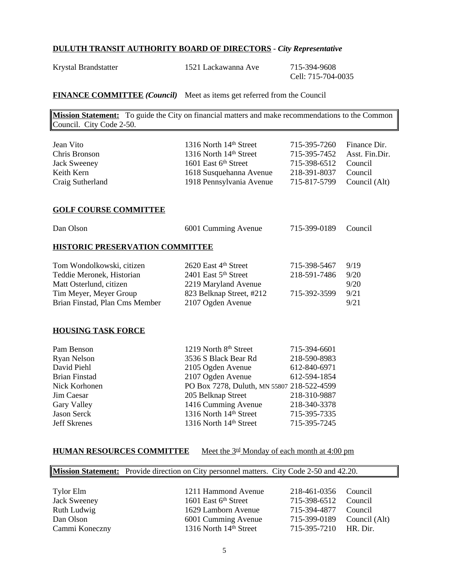## **DULUTH TRANSIT AUTHORITY BOARD OF DIRECTORS** - *City Representative*

Krystal Brandstatter 1521 Lackawanna Ave 715-394-9608

Cell: 715-704-0035

## **FINANCE COMMITTEE** *(Council)* Meet as items get referred from the Council

**Mission Statement:** To guide the City on financial matters and make recommendations to the Common Council. City Code 2-50.

| Jean Vito<br>Chris Bronson<br><b>Jack Sweeney</b><br>Keith Kern<br>Craig Sutherland                                                                                | 1316 North 14th Street<br>1316 North 14th Street<br>1601 East 6th Street<br>1618 Susquehanna Avenue<br>1918 Pennsylvania Avenue                                                                                                        | 715-395-7260<br>715-395-7452<br>715-398-6512<br>218-391-8037<br>715-817-5799                                                 | Finance Dir.<br>Asst. Fin.Dir.<br>Council<br>Council<br>Council (Alt) |
|--------------------------------------------------------------------------------------------------------------------------------------------------------------------|----------------------------------------------------------------------------------------------------------------------------------------------------------------------------------------------------------------------------------------|------------------------------------------------------------------------------------------------------------------------------|-----------------------------------------------------------------------|
| <b>GOLF COURSE COMMITTEE</b>                                                                                                                                       |                                                                                                                                                                                                                                        |                                                                                                                              |                                                                       |
| Dan Olson                                                                                                                                                          | 6001 Cumming Avenue                                                                                                                                                                                                                    | 715-399-0189                                                                                                                 | Council                                                               |
| <b>HISTORIC PRESERVATION COMMITTEE</b>                                                                                                                             |                                                                                                                                                                                                                                        |                                                                                                                              |                                                                       |
| Tom Wondolkowski, citizen<br>Teddie Meronek, Historian<br>Matt Osterlund, citizen<br>Tim Meyer, Meyer Group<br>Brian Finstad, Plan Cms Member                      | 2620 East 4th Street<br>2401 East 5th Street<br>2219 Maryland Avenue<br>823 Belknap Street, #212<br>2107 Ogden Avenue                                                                                                                  | 715-398-5467<br>218-591-7486<br>715-392-3599                                                                                 | 9/19<br>9/20<br>9/20<br>9/21<br>9/21                                  |
| <b>HOUSING TASK FORCE</b>                                                                                                                                          |                                                                                                                                                                                                                                        |                                                                                                                              |                                                                       |
| Pam Benson<br><b>Ryan Nelson</b><br>David Piehl<br><b>Brian Finstad</b><br>Nick Korhonen<br>Jim Caesar<br>Gary Valley<br><b>Jason Serck</b><br><b>Jeff Skrenes</b> | 1219 North 8th Street<br>3536 S Black Bear Rd<br>2105 Ogden Avenue<br>2107 Ogden Avenue<br>PO Box 7278, Duluth, MN 55807 218-522-4599<br>205 Belknap Street<br>1416 Cumming Avenue<br>1316 North 14th Street<br>1316 North 14th Street | 715-394-6601<br>218-590-8983<br>612-840-6971<br>612-594-1854<br>218-310-9887<br>218-340-3378<br>715-395-7335<br>715-395-7245 |                                                                       |

## **HUMAN RESOURCES COMMITTEE** Meet the 3rd Monday of each month at 4:00 pm

|                     | <b>Mission Statement:</b> Provide direction on City personnel matters. City Code 2-50 and 42.20. |                       |               |
|---------------------|--------------------------------------------------------------------------------------------------|-----------------------|---------------|
|                     |                                                                                                  |                       |               |
| Tylor Elm           | 1211 Hammond Avenue                                                                              | 218-461-0356 Council  |               |
| <b>Jack Sweeney</b> | 1601 East 6th Street                                                                             | 715-398-6512 Council  |               |
| Ruth Ludwig         | 1629 Lamborn Avenue                                                                              | 715-394-4877 Council  |               |
| Dan Olson           | 6001 Cumming Avenue                                                                              | 715-399-0189          | Council (Alt) |
| Cammi Koneczny      | 1316 North 14th Street                                                                           | 715-395-7210 HR. Dir. |               |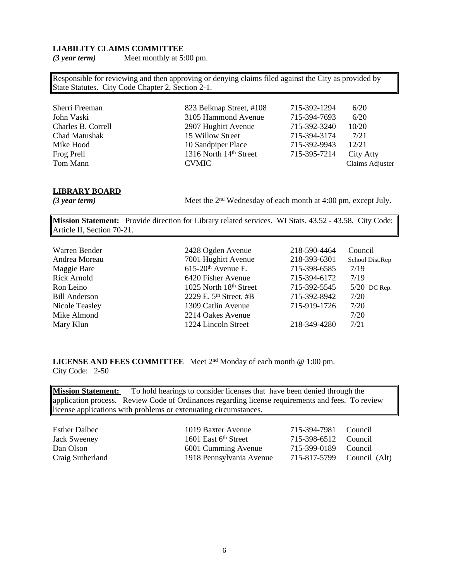#### **LIABILITY CLAIMS COMMITTEE**

*(3 year term)* Meet monthly at 5:00 pm.

Responsible for reviewing and then approving or denying claims filed against the City as provided by State Statutes. City Code Chapter 2, Section 2-1.

| Sherri Freeman     | 823 Belknap Street, #108 | 715-392-1294 | 6/20            |
|--------------------|--------------------------|--------------|-----------------|
| John Vaski         | 3105 Hammond Avenue      | 715-394-7693 | 6/20            |
| Charles B. Correll | 2907 Hughitt Avenue      | 715-392-3240 | 10/20           |
| Chad Matushak      | 15 Willow Street         | 715-394-3174 | 7/21            |
| Mike Hood          | 10 Sandpiper Place       | 715-392-9943 | 12/21           |
| Frog Prell         | 1316 North 14th Street   | 715-395-7214 | City Atty       |
| Tom Mann           | <b>CVMIC</b>             |              | Claims Adjuster |

#### **LIBRARY BOARD**

*(3 year term)* 

Meet the  $2<sup>nd</sup>$  Wednesday of each month at 4:00 pm, except July.

**Mission Statement:** Provide direction for Library related services. WI Stats. 43.52 - 43.58. City Code: Article II, Section 70-21.

| Warren Bender<br>Andrea Moreau<br>Maggie Bare<br><b>Rick Arnold</b><br>Ron Leino<br><b>Bill Anderson</b><br>Nicole Teasley<br>Mike Almond | 2428 Ogden Avenue<br>7001 Hughitt Avenue<br>$615-20$ <sup>th</sup> Avenue E.<br>6420 Fisher Avenue<br>1025 North 18th Street<br>2229 E. $5th$ Street, #B<br>1309 Catlin Avenue<br>2214 Oakes Avenue | 218-590-4464<br>218-393-6301<br>715-398-6585<br>715-394-6172<br>715-392-5545<br>715-392-8942<br>715-919-1726 | Council<br>School Dist.Rep<br>7/19<br>7/19<br>$5/20$ DC Rep.<br>7/20<br>7/20<br>7/20 |
|-------------------------------------------------------------------------------------------------------------------------------------------|-----------------------------------------------------------------------------------------------------------------------------------------------------------------------------------------------------|--------------------------------------------------------------------------------------------------------------|--------------------------------------------------------------------------------------|
| Mary Klun                                                                                                                                 | 1224 Lincoln Street                                                                                                                                                                                 | 218-349-4280                                                                                                 | 7/21                                                                                 |

**LICENSE AND FEES COMMITTEE** Meet 2nd Monday of each month @ 1:00 pm. City Code: 2-50

**Mission Statement:** To hold hearings to consider licenses that have been denied through the application process. Review Code of Ordinances regarding license requirements and fees. To review license applications with problems or extenuating circumstances.

| <b>Esther Dalbec</b><br><b>Jack Sweeney</b> | 1019 Baxter Avenue<br>1601 East $6th$ Street | 715-394-7981 Council<br>715-398-6512 Council |  |
|---------------------------------------------|----------------------------------------------|----------------------------------------------|--|
| Dan Olson                                   | 6001 Cumming Avenue                          | 715-399-0189 Council                         |  |
| Craig Sutherland                            | 1918 Pennsylvania Avenue                     | 715-817-5799 Council (Alt)                   |  |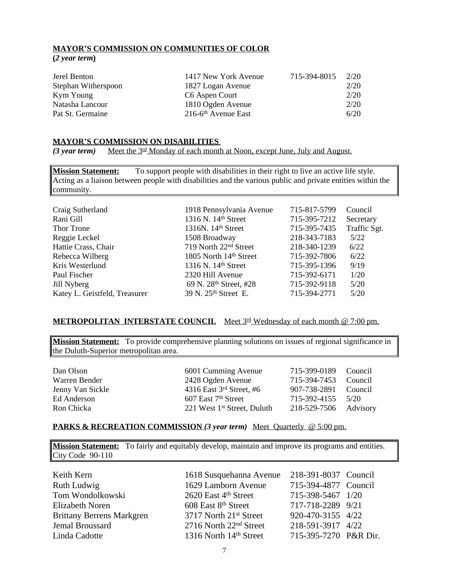### **MAYOR'S COMMISSION ON COMMUNITIES OF COLOR (***2 year term***)**

| Jerel Benton        | 1417 New York Avenue              | 715-394-8015 | 2/20 |
|---------------------|-----------------------------------|--------------|------|
| Stephan Witherspoon | 1827 Logan Avenue                 |              | 2/20 |
| Kym Young           | C6 Aspen Court                    |              | 2/20 |
| Natasha Lancour     | 1810 Ogden Avenue                 |              | 2/20 |
| Pat St. Germaine    | $216-6$ <sup>th</sup> Avenue East |              | 6/20 |

#### **MAYOR'S COMMISSION ON DISABILITIES**

*(3 year term)* Meet the 3<sup>rd</sup> Monday of each month at Noon, except June, July and August.

**Mission Statement:** To support people with disabilities in their right to live an active life style. Acting as a liaison between people with disabilities and the various public and private entities within the community.

| Craig Sutherland              | 1918 Pennsylvania Avenue           | 715-817-5799 | Council      |
|-------------------------------|------------------------------------|--------------|--------------|
| Rani Gill                     | 1316 N. 14 <sup>th</sup> Street    | 715-395-7212 | Secretary    |
| Thor Trone                    | 1316N. $14th$ Street               | 715-395-7435 | Traffic Sgt. |
| Reggie Leckel                 | 1508 Broadway                      | 218-343-7183 | 5/22         |
| Hattie Crass, Chair           | 719 North 22 <sup>nd</sup> Street  | 218-340-1239 | 6/22         |
| Rebecca Wilberg               | 1805 North 14th Street             | 715-392-7806 | 6/22         |
| Kris Westerlund               | 1316 N. 14 <sup>th</sup> Street    | 715-395-1396 | 9/19         |
| Paul Fischer                  | 2320 Hill Avenue                   | 715-392-6171 | 1/20         |
| Jill Nyberg                   | 69 N. 28 <sup>th</sup> Street, #28 | 715-392-9118 | 5/20         |
| Katey L. Geistfeld, Treasurer | 39 N. 25 <sup>th</sup> Street E.   | 715-394-2771 | 5/20         |

#### **METROPOLITAN INTERSTATE COUNCIL** Meet 3rd Wednesday of each month @ 7:00 pm.

**Mission Statement:** To provide comprehensive planning solutions on issues of regional significance in the Duluth-Superior metropolitan area.

Dan Olson 6001 Cumming Avenue 715-399-0189 Council Warren Bender 2428 Ogden Avenue 715-394-7453 Council Jenny Van Sickle 4316 East 3rd Street, #6 907-738-2891 Council Ed Anderson 607 East 7<sup>th</sup> Street 715-392-4155 5/20<br>Ron Chicka 221 West 1<sup>st</sup> Street, Duluth 218-529-7506 Advi 221 West  $1<sup>st</sup>$  Street, Duluth 218-529-7506 Advisory

#### **PARKS & RECREATION COMMISSION** *(3 year term)* Meet Quarterly @ 5:00 pm.

**Mission Statement:** To fairly and equitably develop, maintain and improve its programs and entities. City Code 90-110

Keith Kern 1618 Susquehanna Avenue 218-391-8037 Council Ruth Ludwig 1629 Lamborn Avenue 715-394-4877 Council Tom Wondolkowski 2620 East 4th Street 715-398-5467 1/20 Elizabeth Noren 608 East 8<sup>th</sup> Street 717-718-2289 9/21<br>Brittany Berrens Markgren 3717 North 21<sup>st</sup> Street 920-470-3155 4/22 Brittany Berrens Markgren 3717 North 21<sup>st</sup> Street 920-470-3155 4/22 Jemal Broussard 2716 North 22nd Street 218-591-3917 4/22 Linda Cadotte 1316 North 14th Street 715-395-7270 P&R Dir.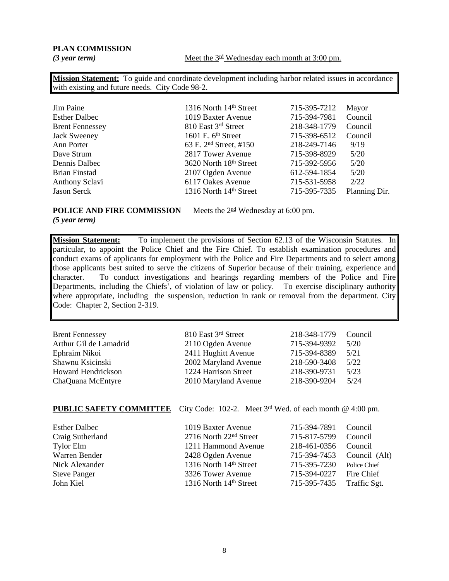### **PLAN COMMISSION**

*(3 year term)* Meet the  $3^{\text{rd}}$  Wednesday each month at 3:00 pm.

**Mission Statement:** To guide and coordinate development including harbor related issues in accordance with existing and future needs. City Code 98-2.

| Jim Paine              | 1316 North 14th Street             | 715-395-7212 | Mayor         |
|------------------------|------------------------------------|--------------|---------------|
| <b>Esther Dalbec</b>   | 1019 Baxter Avenue                 | 715-394-7981 | Council       |
| <b>Brent Fennessey</b> | 810 East 3rd Street                | 218-348-1779 | Council       |
| <b>Jack Sweeney</b>    | 1601 E. $6th$ Street               | 715-398-6512 | Council       |
| Ann Porter             | 63 E. 2 <sup>nd</sup> Street, #150 | 218-249-7146 | 9/19          |
| Dave Strum             | 2817 Tower Avenue                  | 715-398-8929 | 5/20          |
| Dennis Dalbec          | 3620 North 18th Street             | 715-392-5956 | 5/20          |
| Brian Finstad          | 2107 Ogden Avenue                  | 612-594-1854 | 5/20          |
| Anthony Sclavi         | 6117 Oakes Avenue                  | 715-531-5958 | 2/22          |
| <b>Jason Serck</b>     | 1316 North 14th Street             | 715-395-7335 | Planning Dir. |
|                        |                                    |              |               |

### **POLICE AND FIRE COMMISSION** Meets the 2<sup>nd</sup> Wednesday at 6:00 pm.

*(5 year term)*

**Mission Statement:** To implement the provisions of Section 62.13 of the Wisconsin Statutes. In particular, to appoint the Police Chief and the Fire Chief. To establish examination procedures and conduct exams of applicants for employment with the Police and Fire Departments and to select among those applicants best suited to serve the citizens of Superior because of their training, experience and character. To conduct investigations and hearings regarding members of the Police and Fire Departments, including the Chiefs', of violation of law or policy. To exercise disciplinary authority where appropriate, including the suspension, reduction in rank or removal from the department. City Code: Chapter 2, Section 2-319.

| <b>Brent Fennessey</b>    | 810 East 3rd Street  | 218-348-1779 | Council |
|---------------------------|----------------------|--------------|---------|
| Arthur Gil de Lamadrid    | 2110 Ogden Avenue    | 715-394-9392 | 5/20    |
| Ephraim Nikoi             | 2411 Hughitt Avenue  | 715-394-8389 | 5/21    |
| Shawnu Ksicinski          | 2002 Maryland Avenue | 218-590-3408 | 5/22    |
| <b>Howard Hendrickson</b> | 1224 Harrison Street | 218-390-9731 | 5/23    |
| ChaQuana McEntyre         | 2010 Maryland Avenue | 218-390-9204 | 5/24    |

## **PUBLIC SAFETY COMMITTEE** City Code: 102-2. Meet 3<sup>rd</sup> Wed. of each month @ 4:00 pm.

| 1019 Baxter Avenue     |                                    | Council<br>Council                                                                           |
|------------------------|------------------------------------|----------------------------------------------------------------------------------------------|
| 1211 Hammond Avenue    | 218-461-0356                       | Council                                                                                      |
| 2428 Ogden Avenue      |                                    | Council (Alt)                                                                                |
| 1316 North 14th Street |                                    | Police Chief                                                                                 |
| 3326 Tower Avenue      |                                    | Fire Chief                                                                                   |
| 1316 North 14th Street |                                    | Traffic Sgt.                                                                                 |
|                        | 2716 North 22 <sup>nd</sup> Street | 715-394-7891<br>715-817-5799<br>715-394-7453<br>715-395-7230<br>715-394-0227<br>715-395-7435 |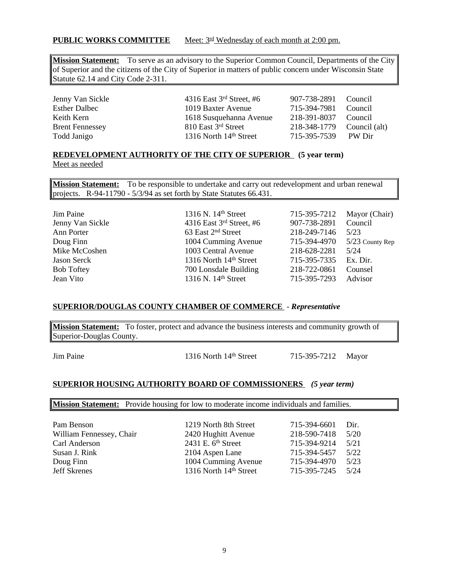### **PUBLIC WORKS COMMITTEE** Meet: 3<sup>rd</sup> Wednesday of each month at 2:00 pm.

**Mission Statement:** To serve as an advisory to the Superior Common Council, Departments of the City of Superior and the citizens of the City of Superior in matters of public concern under Wisconsin State Statute 62.14 and City Code 2-311.

| Jenny Van Sickle       |
|------------------------|
| <b>Esther Dalbec</b>   |
| Keith Kern             |
| <b>Brent Fennessey</b> |
| Todd Janigo            |

4316 East 3<sup>rd</sup> Street, #6 907-738-2891 Council 1019 Baxter Avenue 715-394-7981 Council 1618 Susquehanna Avenue 218-391-8037 Council<br>810 East 3<sup>rd</sup> Street 218-348-1779 Council 810 East <sup>3rd</sup> Street 218-348-1779 Council (alt) 1316 North 14<sup>th</sup> Street 715-395-7539 PW Dir

#### **REDEVELOPMENT AUTHORITY OF THE CITY OF SUPERIOR (5 year term)** Meet as needed

**Mission Statement:** To be responsible to undertake and carry out redevelopment and urban renewal projects. R-94-11790 - 5/3/94 as set forth by State Statutes 66.431.

| Jim Paine         |
|-------------------|
| Jenny Van Sickle  |
| Ann Porter        |
| Doug Finn         |
| Mike McCoshen     |
| Jason Serck       |
| <b>Bob Toftey</b> |
| Jean Vito         |

| 1316 N. 14 <sup>th</sup> Street | 715-395-7212 | Mayor (Chair)   |
|---------------------------------|--------------|-----------------|
| 4316 East $3rd$ Street, #6      | 907-738-2891 | Council         |
| 63 East 2 <sup>nd</sup> Street  | 218-249-7146 | 5/23            |
| 1004 Cumming Avenue             | 715-394-4970 | 5/23 County Rep |
| 1003 Central Avenue             | 218-628-2281 | 5/24            |
| 1316 North 14th Street          | 715-395-7335 | Ex. Dir.        |
| 700 Lonsdale Building           | 218-722-0861 | Counsel         |
| 1316 N. 14 <sup>th</sup> Street | 715-395-7293 | Advisor         |
|                                 |              |                 |

#### **SUPERIOR/DOUGLAS COUNTY CHAMBER OF COMMERCE** - *Representative*

**Mission Statement:** To foster, protect and advance the business interests and community growth of Superior-Douglas County.

Jim Paine 1316 North 14<sup>th</sup> Street 715-395-7212 Mayor

#### **SUPERIOR HOUSING AUTHORITY BOARD OF COMMISSIONERS** *(5 year term)*

**Mission Statement:** Provide housing for low to moderate income individuals and families.

| Pam Benson               | 1219 North 8th Street  | 715-394-6601 | Dir. |
|--------------------------|------------------------|--------------|------|
| William Fennessey, Chair | 2420 Hughitt Avenue    | 218-590-7418 | 5/20 |
| Carl Anderson            | 2431 E. $6th$ Street   | 715-394-9214 | 5/21 |
| Susan J. Rink            | 2104 Aspen Lane        | 715-394-5457 | 5/22 |
| Doug Finn                | 1004 Cumming Avenue    | 715-394-4970 | 5/23 |
| <b>Jeff Skrenes</b>      | 1316 North 14th Street | 715-395-7245 | 5/24 |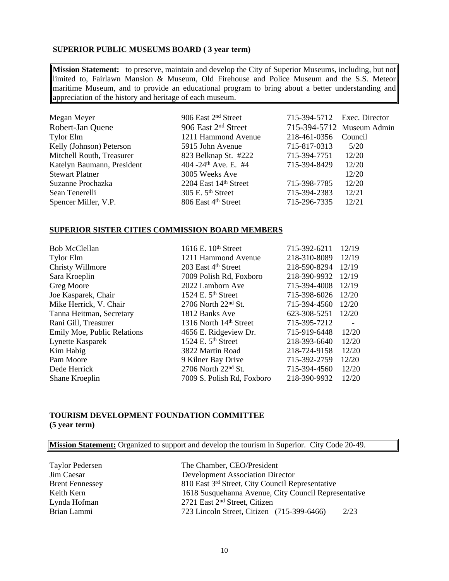## **SUPERIOR PUBLIC MUSEUMS BOARD ( 3 year term)**

**Mission Statement:** to preserve, maintain and develop the City of Superior Museums, including, but not limited to, Fairlawn Mansion & Museum, Old Firehouse and Police Museum and the S.S. Meteor maritime Museum, and to provide an educational program to bring about a better understanding and appreciation of the history and heritage of each museum.

| Megan Meyer                | 906 East 2 <sup>nd</sup> Street  | 715-394-5712 Exec. Director |                           |
|----------------------------|----------------------------------|-----------------------------|---------------------------|
| Robert-Jan Quene           | 906 East 2 <sup>nd</sup> Street  |                             | 715-394-5712 Museum Admin |
| Tylor Elm                  | 1211 Hammond Avenue              | 218-461-0356                | Council                   |
| Kelly (Johnson) Peterson   | 5915 John Avenue                 | 715-817-0313                | 5/20                      |
| Mitchell Routh, Treasurer  | 823 Belknap St. #222             | 715-394-7751                | 12/20                     |
| Katelyn Baumann, President | 404 -24 <sup>th</sup> Ave. E. #4 | 715-394-8429                | 12/20                     |
| <b>Stewart Platner</b>     | 3005 Weeks Ave                   |                             | 12/20                     |
| Suzanne Prochazka          | 2204 East 14th Street            | 715-398-7785                | 12/20                     |
| Sean Tenerelli             | $305$ E. $5th$ Street            | 715-394-2383                | 12/21                     |
| Spencer Miller, V.P.       | 806 East 4th Street              | 715-296-7335                | 12/21                     |

#### **SUPERIOR SISTER CITIES COMMISSION BOARD MEMBERS**

| <b>Bob McClellan</b>               | 1616 E. 10th Street            | 715-392-6211 | 12/19 |
|------------------------------------|--------------------------------|--------------|-------|
| <b>Tylor Elm</b>                   | 1211 Hammond Avenue            | 218-310-8089 | 12/19 |
| Christy Willmore                   | 203 East 4th Street            | 218-590-8294 | 12/19 |
| Sara Kroeplin                      | 7009 Polish Rd, Foxboro        | 218-390-9932 | 12/19 |
| Greg Moore                         | 2022 Lamborn Ave               | 715-394-4008 | 12/19 |
| Joe Kasparek, Chair                | 1524 E. $5th$ Street           | 715-398-6026 | 12/20 |
| Mike Herrick, V. Chair             | $2706$ North $22nd$ St.        | 715-394-4560 | 12/20 |
| Tanna Heitman, Secretary           | 1812 Banks Ave                 | 623-308-5251 | 12/20 |
| Rani Gill, Treasurer               | 1316 North 14th Street         | 715-395-7212 |       |
| <b>Emily Moe, Public Relations</b> | 4656 E. Ridgeview Dr.          | 715-919-6448 | 12/20 |
| Lynette Kasparek                   | 1524 E. 5 <sup>th</sup> Street | 218-393-6640 | 12/20 |
| Kim Habig                          | 3822 Martin Road               | 218-724-9158 | 12/20 |
| Pam Moore                          | 9 Kilner Bay Drive             | 715-392-2759 | 12/20 |
| Dede Herrick                       | 2706 North $22nd$ St.          | 715-394-4560 | 12/20 |
| Shane Kroeplin                     | 7009 S. Polish Rd, Foxboro     | 218-390-9932 | 12/20 |
|                                    |                                |              |       |

## **TOURISM DEVELOPMENT FOUNDATION COMMITTEE (5 year term)**

**Mission Statement:** Organized to support and develop the tourism in Superior. City Code 20-49.

| <b>Taylor Pedersen</b> | The Chamber, CEO/President                           |      |
|------------------------|------------------------------------------------------|------|
| Jim Caesar             | <b>Development Association Director</b>              |      |
| <b>Brent Fennessey</b> | 810 East 3rd Street, City Council Representative     |      |
| Keith Kern             | 1618 Susquehanna Avenue, City Council Representative |      |
| Lynda Hofman           | 2721 East 2 <sup>nd</sup> Street, Citizen            |      |
| Brian Lammi            | 723 Lincoln Street, Citizen (715-399-6466)           | 2/23 |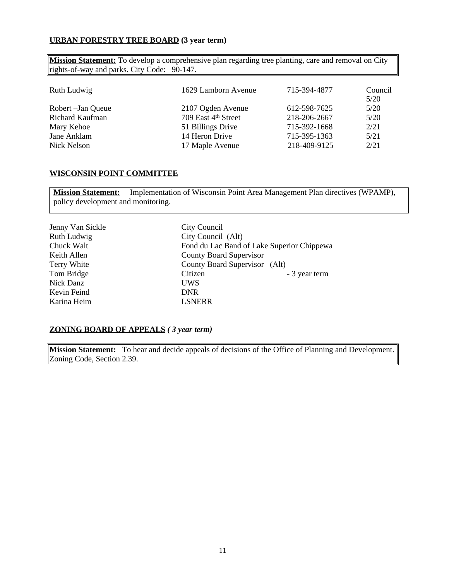#### **URBAN FORESTRY TREE BOARD (3 year term)**

**Mission Statement:** To develop a comprehensive plan regarding tree planting, care and removal on City rights-of-way and parks. City Code: 90-147.

| Ruth Ludwig        | 1629 Lamborn Avenue | 715-394-4877 | Council<br>5/20 |
|--------------------|---------------------|--------------|-----------------|
| Robert – Jan Queue | 2107 Ogden Avenue   | 612-598-7625 | 5/20            |
| Richard Kaufman    | 709 East 4th Street | 218-206-2667 | 5/20            |
| Mary Kehoe         | 51 Billings Drive   | 715-392-1668 | 2/21            |
| Jane Anklam        | 14 Heron Drive      | 715-395-1363 | 5/21            |
| Nick Nelson        | 17 Maple Avenue     | 218-409-9125 | 2/21            |

#### **WISCONSIN POINT COMMITTEE**

**Mission Statement:** Implementation of Wisconsin Point Area Management Plan directives (WPAMP), policy development and monitoring.

| Jenny Van Sickle | City Council                               |
|------------------|--------------------------------------------|
| Ruth Ludwig      | City Council (Alt)                         |
| Chuck Walt       | Fond du Lac Band of Lake Superior Chippewa |
| Keith Allen      | <b>County Board Supervisor</b>             |
| Terry White      | County Board Supervisor (Alt)              |
| Tom Bridge       | Citizen<br>- 3 year term                   |
| Nick Danz        | <b>UWS</b>                                 |
| Kevin Feind      | <b>DNR</b>                                 |
| Karina Heim      | <b>LSNERR</b>                              |

#### **ZONING BOARD OF APPEALS** *( 3 year term)*

**Mission Statement:** To hear and decide appeals of decisions of the Office of Planning and Development. Zoning Code, Section 2.39.